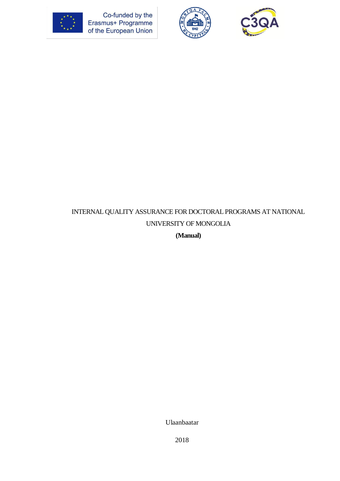

Co-funded by the<br>Erasmus+ Programme<br>of the European Union





# INTERNAL QUALITY ASSURANCE FOR DOCTORAL PROGRAMS AT NATIONAL UNIVERSITY OF MONGOLIA

**(Manual)**

Ulaanbaatar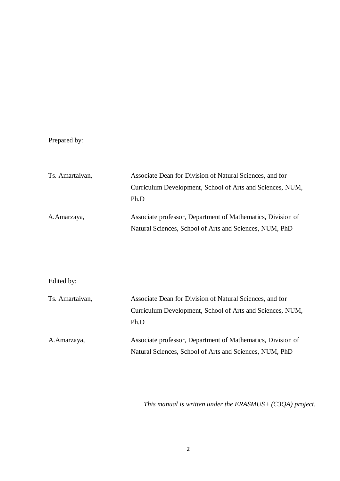# Prepared by:

| Ts. Amartaivan, | Associate Dean for Division of Natural Sciences, and for    |  |  |  |
|-----------------|-------------------------------------------------------------|--|--|--|
|                 | Curriculum Development, School of Arts and Sciences, NUM,   |  |  |  |
|                 | Ph.D                                                        |  |  |  |
| A. Amarzaya,    | Associate professor, Department of Mathematics, Division of |  |  |  |
|                 | Natural Sciences, School of Arts and Sciences, NUM, PhD     |  |  |  |

# Edited by:

| Ts. Amartaivan, | Associate Dean for Division of Natural Sciences, and for    |  |  |  |
|-----------------|-------------------------------------------------------------|--|--|--|
|                 | Curriculum Development, School of Arts and Sciences, NUM,   |  |  |  |
|                 | Ph.D                                                        |  |  |  |
| A.Amarzaya,     | Associate professor, Department of Mathematics, Division of |  |  |  |
|                 | Natural Sciences, School of Arts and Sciences, NUM, PhD     |  |  |  |

*This manual is written under the ERASMUS+ (C3QA) project.*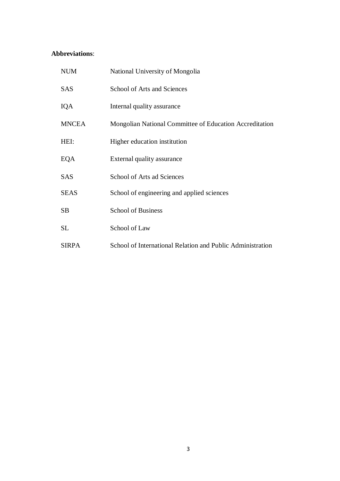# **Abbreviations**:

| <b>NUM</b>   | National University of Mongolia                            |
|--------------|------------------------------------------------------------|
| <b>SAS</b>   | <b>School of Arts and Sciences</b>                         |
| IQA          | Internal quality assurance                                 |
| <b>MNCEA</b> | Mongolian National Committee of Education Accreditation    |
| HEI:         | Higher education institution                               |
| EQA          | External quality assurance                                 |
| <b>SAS</b>   | School of Arts ad Sciences                                 |
| <b>SEAS</b>  | School of engineering and applied sciences                 |
| <b>SB</b>    | <b>School of Business</b>                                  |
| SL           | School of Law                                              |
| <b>SIRPA</b> | School of International Relation and Public Administration |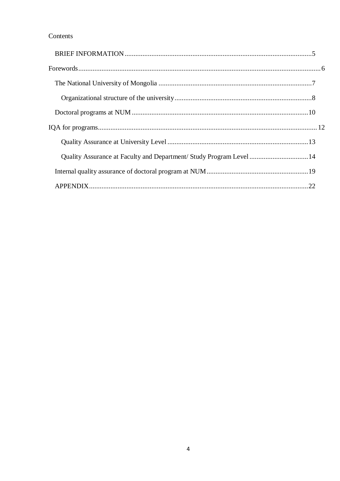## Contents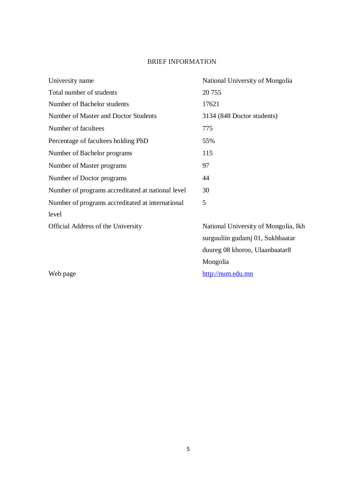# BRIEF INFORMATION

<span id="page-4-0"></span>

| University name                                   | National University of Mongolia      |
|---------------------------------------------------|--------------------------------------|
| Total number of students                          | 20 755                               |
| Number of Bachelor students                       | 17621                                |
| Number of Master and Doctor Students              | 3134 (848 Doctor students)           |
| Number of facultees                               | 775                                  |
| Percentage of facultees holding PhD               | 55%                                  |
| Number of Bachelor programs                       | 115                                  |
| Number of Master programs                         | 97                                   |
| Number of Doctor programs                         | 44                                   |
| Number of programs accreditated at national level | 30                                   |
| Number of programs accreditated at international  | 5                                    |
| level                                             |                                      |
| Official Address of the University                | National University of Mongolia, Ikh |
|                                                   | surguuliin gudamj 01, Sukhbaatar     |
|                                                   | duureg 08 khoroo, Ulaanbaatar8       |

Mongolia

Web page [http://num.edu.mn](http://num.edu.mn/)

5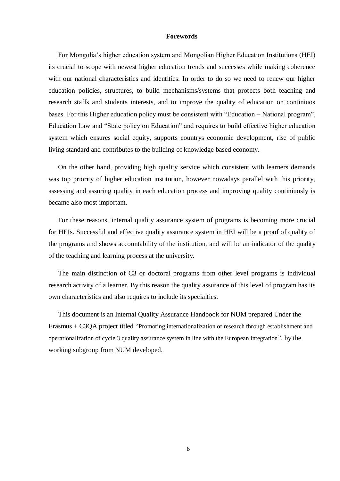#### **Forewords**

<span id="page-5-0"></span>For Mongolia's higher education system and Mongolian Higher Education Institutions (HEI) its crucial to scope with newest higher education trends and successes while making coherence with our national characteristics and identities. In order to do so we need to renew our higher education policies, structures, to build mechanisms/systems that protects both teaching and research staffs and students interests, and to improve the quality of education on continiuos bases. For this Higher education policy must be consistent with "Education – National program", Education Law and "State policy on Education" and requires to build effective higher education system which ensures social equity, supports countrys economic development, rise of public living standard and contributes to the building of knowledge based economy.

On the other hand, providing high quality service which consistent with learners demands was top priority of higher education institution, however nowadays parallel with this priority, assessing and assuring quality in each education process and improving quality continiuosly is became also most important.

For these reasons, internal quality assurance system of programs is becoming more crucial for HEIs. Successful and effective quality assurance system in HEI will be a proof of quality of the programs and shows accountability of the institution, and will be an indicator of the quality of the teaching and learning process at the university.

The main distinction of C3 or doctoral programs from other level programs is individual research activity of a learner. By this reason the quality assurance of this level of program has its own characteristics and also requires to include its specialties.

<span id="page-5-1"></span>This document is an Internal Quality Assurance Handbook for NUM prepared Under the Erasmus + C3QA project titled "Promoting internationalization of research through establishment and operationalization of cycle 3 quality assurance system in line with the European integration", by the working subgroup from NUM developed.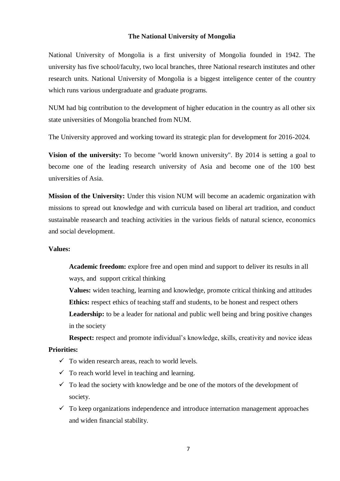### **The National University of Mongolia**

National University of Mongolia is a first university of Mongolia founded in 1942. The university has five school/faculty, two local branches, three National research institutes and other research units. National University of Mongolia is a biggest inteligence center of the country which runs various undergraduate and graduate programs.

NUM had big contribution to the development of higher education in the country as all other six state universities of Mongolia branched from NUM.

The University approved and working toward its strategic plan for development for 2016-2024.

**Vision of the university:** To become "world known university". By 2014 is setting a goal to become one of the leading research university of Asia and become one of the 100 best universities of Asia.

**Mission of the University:** Under this vision NUM will become an academic organization with missions to spread out knowledge and with curricula based on liberal art tradition, and conduct sustainable reasearch and teaching activities in the various fields of natural science, economics and social development.

### **Values:**

**Academic freedom:** explore free and open mind and support to deliver its results in all ways, and support critical thinking

**Values:** widen teaching, learning and knowledge, promote critical thinking and attitudes Ethics: respect ethics of teaching staff and students, to be honest and respect others Leadership: to be a leader for national and public well being and bring positive changes

in the society

**Respect:** respect and promote individual's knowledge, skills, creativity and novice ideas **Priorities:**

- $\checkmark$  To widen research areas, reach to world levels.
- $\checkmark$  To reach world level in teaching and learning.
- $\checkmark$  To lead the society with knowledge and be one of the motors of the development of society.
- $\checkmark$  To keep organizations independence and introduce internation management approaches and widen financial stability.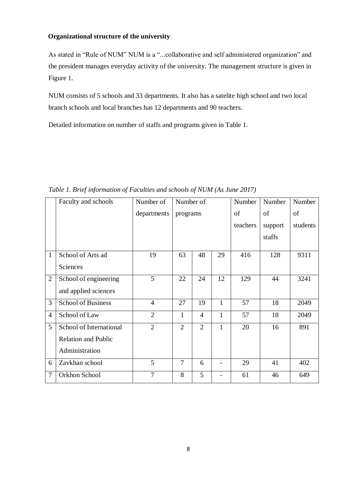# <span id="page-7-0"></span>**Organizational structure of the university**

As stated in "Rule of NUM" NUM is a "...collaborative and self administered organization" and the president manages everyday activity of the university. The management structure is given in Figure 1.

NUM consists of 5 schools and 33 departments. It also has a satelite high school and two local branch schools and local branches has 12 departments and 90 teachers.

Detailed information on number of staffs and programs given in Table 1.

|                | Faculty and schools        | Number of      | Number of      |                | Number       | Number   | Number  |          |
|----------------|----------------------------|----------------|----------------|----------------|--------------|----------|---------|----------|
|                |                            | departments    | programs       |                | of           | of       | of      |          |
|                |                            |                |                |                |              | teachers | support | students |
|                |                            |                |                |                |              |          | staffs  |          |
| 1              | School of Arts ad          | 19             | 63             | 48             | 29           | 416      | 128     | 9311     |
|                | <b>Sciences</b>            |                |                |                |              |          |         |          |
| $\overline{2}$ | School of engineering      | 5              | 22             | 24             | 12           | 129      | 44      | 3241     |
|                | and applied sciences       |                |                |                |              |          |         |          |
| 3              | <b>School of Business</b>  | $\overline{4}$ | 27             | 19             | $\mathbf{1}$ | 57       | 18      | 2049     |
| $\overline{4}$ | School of Law              | $\overline{2}$ | $\mathbf{1}$   | $\overline{4}$ | $\mathbf{1}$ | 57       | 18      | 2049     |
| 5              | School of International    | $\overline{2}$ | $\overline{2}$ | $\overline{2}$ | $\mathbf{1}$ | 20       | 16      | 891      |
|                | <b>Relation and Public</b> |                |                |                |              |          |         |          |
|                | Administration             |                |                |                |              |          |         |          |
| 6              | Zavkhan school             | 5              | $\overline{7}$ | 6              |              | 29       | 41      | 402      |
| $\overline{7}$ | Orkhon School              | 7              | 8              | 5              |              | 61       | 46      | 649      |

*Table 1. Brief information of Faculties and schools of NUM (As June 2017)*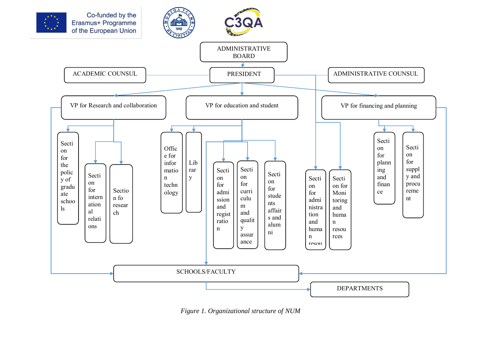

*Figure 1. Organizational structure of NUM*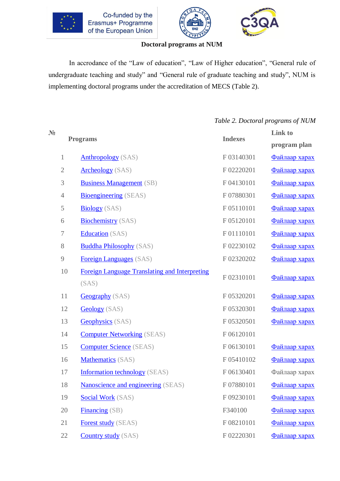<span id="page-9-0"></span>





### **Doctoral programs at NUM**

In accrodance of the "Law of education", "Law of Higher education", "General rule of undergraduate teaching and study" and "General rule of graduate teaching and study", NUM is implementing doctoral programs under the accreditation of MECS (Table 2).

*Table 2. Doctoral programs of NUM*

| $N_2$ |                  |                                                      | <b>Indexes</b> | <b>Link to</b> |
|-------|------------------|------------------------------------------------------|----------------|----------------|
|       | <b>Programs</b>  |                                                      |                | program plan   |
|       | 1                | <b>Anthropology</b> (SAS)                            | F03140301      | Файлаар харах  |
|       | $\mathbf{2}$     | <b>Archeology</b> (SAS)                              | F02220201      | Файлаар харах  |
|       | $\mathfrak{Z}$   | <b>Business Management</b> (SB)                      | F04130101      | Файлаар харах  |
|       | $\overline{4}$   | <b>Bioengineering</b> (SEAS)                         | F07880301      | Файлаар харах  |
|       | $\mathfrak s$    | <b>Biology</b> (SAS)                                 | F05110101      | Файлаар харах  |
|       | 6                | <b>Biochemistry</b> (SAS)                            | F05120101      | Файлаар харах  |
|       | $\boldsymbol{7}$ | <b>Education</b> (SAS)                               | F01110101      | Файлаар харах  |
|       | $8\,$            | <b>Buddha Philosophy</b> (SAS)                       | F02230102      | Файлаар харах  |
|       | $\overline{9}$   | <b>Foreign Languages</b> (SAS)                       | F02320202      | Файлаар харах  |
|       | 10               | <b>Foreign Language Translating and Interpreting</b> | F02310101      | Файлаар харах  |
|       |                  | (SAS)                                                |                |                |
|       | 11               | <b>Geography</b> (SAS)                               | F05320201      | Файлаар харах  |
|       | 12               | <b>Geology</b> (SAS)                                 | F05320301      | Файлаар харах  |
|       | 13               | <b>Geophysics</b> (SAS)                              | F05320501      | Файлаар харах  |
|       | 14               | <b>Computer Networking</b> (SEAS)                    | F06120101      |                |
|       | 15               | <b>Computer Science</b> (SEAS)                       | F06130101      | Файлаар харах  |
|       | 16               | <b>Mathematics</b> (SAS)                             | F05410102      | Файлаар харах  |
|       | 17               | <b>Information technology</b> (SEAS)                 | F06130401      | Файлаар харах  |
|       | 18               | <b>Nanoscience and engineering (SEAS)</b>            | F07880101      | Файлаар харах  |
|       | 19               | <b>Social Work</b> (SAS)                             | F09230101      | Файлаар харах  |
|       | 20               | Financing (SB)                                       | F340100        | Файлаар харах  |
|       | 21               | <b>Forest study</b> (SEAS)                           | F08210101      | Файлаар харах  |
|       | 22               | <b>Country study</b> (SAS)                           | F02220301      | Файлаар харах  |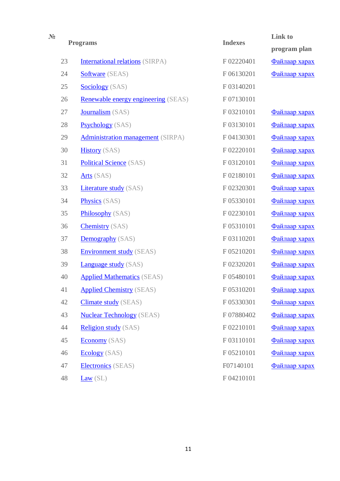| $N_2$ |    | <b>Programs</b>                            | <b>Indexes</b> | Link to       |
|-------|----|--------------------------------------------|----------------|---------------|
|       |    |                                            |                | program plan  |
|       | 23 | <b>International relations</b> (SIRPA)     | F02220401      | Файлаар харах |
|       | 24 | Software (SEAS)                            | F06130201      | Файлаар харах |
|       | 25 | <b>Sociology</b> (SAS)                     | F03140201      |               |
|       | 26 | <b>Renewable energy engineering</b> (SEAS) | F07130101      |               |
|       | 27 | Journalism (SAS)                           | F03210101      | Файлаар харах |
|       | 28 | <b>Psychology</b> (SAS)                    | F03130101      | Файлаар харах |
|       | 29 | <b>Administration management</b> (SIRPA)   | F04130301      | Файлаар харах |
|       | 30 | <b>History</b> (SAS)                       | F02220101      | Файлаар харах |
|       | 31 | <b>Political Science</b> (SAS)             | F03120101      | Файлаар харах |
|       | 32 | <b>Arts</b> (SAS)                          | F02180101      | Файлаар харах |
|       | 33 | <b>Literature study</b> (SAS)              | F02320301      | Файлаар харах |
|       | 34 | <b>Physics</b> (SAS)                       | F05330101      | Файлаар харах |
|       | 35 | <b>Philosophy</b> (SAS)                    | F02230101      | Файлаар харах |
|       | 36 | <b>Chemistry</b> (SAS)                     | F05310101      | Файлаар харах |
|       | 37 | <b>Demography</b> (SAS)                    | F03110201      | Файлаар харах |
|       | 38 | <b>Environment study</b> (SEAS)            | F05210201      | Файлаар харах |
|       | 39 | <b>Language study</b> (SAS)                | F02320201      | Файлаар харах |
|       | 40 | <b>Applied Mathematics (SEAS)</b>          | F05480101      | Файлаар харах |
|       | 41 | <b>Applied Chemistry (SEAS)</b>            | F 05310201     | Файлаар харах |
|       | 42 | <b>Climate study</b> (SEAS)                | F05330301      | Файлаар харах |
|       | 43 | <b>Nuclear Technology</b> (SEAS)           | F07880402      | Файлаар харах |
|       | 44 | <b>Religion study</b> (SAS)                | F02210101      | Файлаар харах |
|       | 45 | <b>Economy</b> (SAS)                       | F03110101      | Файлаар харах |
|       | 46 | <b>Ecology</b> (SAS)                       | F05210101      | Файлаар харах |
|       | 47 | Electronics (SEAS)                         | F07140101      | Файлаар харах |
|       | 48 | Law(SL)                                    | F04210101      |               |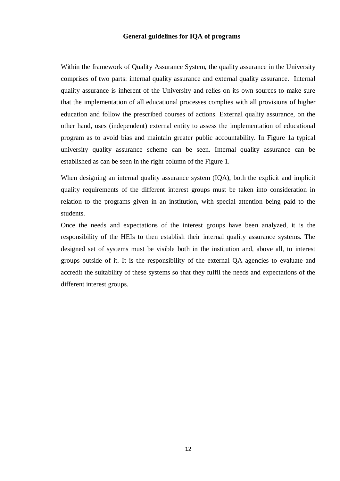### **General guidelines for IQA of programs**

<span id="page-11-0"></span>Within the framework of Quality Assurance System, the quality assurance in the University comprises of two parts: internal quality assurance and external quality assurance. Internal quality assurance is inherent of the University and relies on its own sources to make sure that the implementation of all educational processes complies with all provisions of higher education and follow the prescribed courses of actions. External quality assurance, on the other hand, uses (independent) external entity to assess the implementation of educational program as to avoid bias and maintain greater public accountability. In Figure 1a typical university quality assurance scheme can be seen. Internal quality assurance can be established as can be seen in the right column of the Figure 1.

When designing an internal quality assurance system (IQA), both the explicit and implicit quality requirements of the different interest groups must be taken into consideration in relation to the programs given in an institution, with special attention being paid to the students.

Once the needs and expectations of the interest groups have been analyzed, it is the responsibility of the HEIs to then establish their internal quality assurance systems. The designed set of systems must be visible both in the institution and, above all, to interest groups outside of it. It is the responsibility of the external QA agencies to evaluate and accredit the suitability of these systems so that they fulfil the needs and expectations of the different interest groups.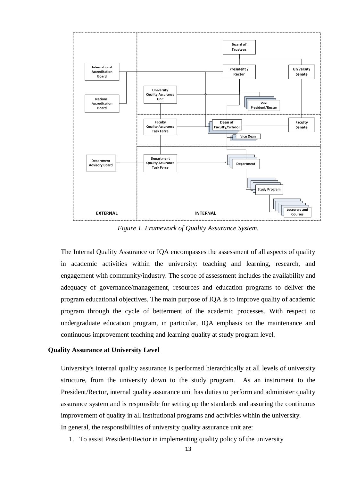

*Figure 1. Framework of Quality Assurance System.*

The Internal Quality Assurance or IQA encompasses the assessment of all aspects of quality in academic activities within the university: teaching and learning, research, and engagement with community/industry. The scope of assessment includes the availability and adequacy of governance/management, resources and education programs to deliver the program educational objectives. The main purpose of IQA is to improve quality of academic program through the cycle of betterment of the academic processes. With respect to undergraduate education program, in particular, IQA emphasis on the maintenance and continuous improvement teaching and learning quality at study program level.

#### <span id="page-12-0"></span>**Quality Assurance at University Level**

University's internal quality assurance is performed hierarchically at all levels of university structure, from the university down to the study program. As an instrument to the President/Rector, internal quality assurance unit has duties to perform and administer quality assurance system and is responsible for setting up the standards and assuring the continuous improvement of quality in all institutional programs and activities within the university. In general, the responsibilities of university quality assurance unit are:

1. To assist President/Rector in implementing quality policy of the university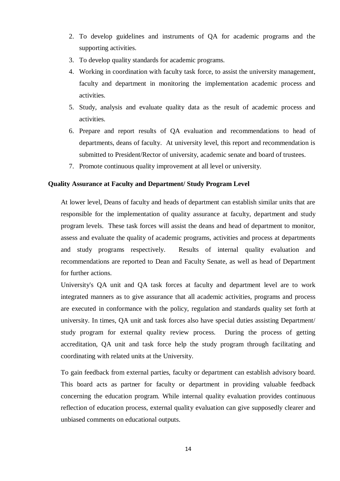- 2. To develop guidelines and instruments of QA for academic programs and the supporting activities.
- 3. To develop quality standards for academic programs.
- 4. Working in coordination with faculty task force, to assist the university management, faculty and department in monitoring the implementation academic process and activities.
- 5. Study, analysis and evaluate quality data as the result of academic process and activities.
- 6. Prepare and report results of QA evaluation and recommendations to head of departments, deans of faculty. At university level, this report and recommendation is submitted to President/Rector of university, academic senate and board of trustees.
- 7. Promote continuous quality improvement at all level or university.

### <span id="page-13-0"></span>**Quality Assurance at Faculty and Department/ Study Program Level**

At lower level, Deans of faculty and heads of department can establish similar units that are responsible for the implementation of quality assurance at faculty, department and study program levels. These task forces will assist the deans and head of department to monitor, assess and evaluate the quality of academic programs, activities and process at departments and study programs respectively. Results of internal quality evaluation and recommendations are reported to Dean and Faculty Senate, as well as head of Department for further actions.

University's QA unit and QA task forces at faculty and department level are to work integrated manners as to give assurance that all academic activities, programs and process are executed in conformance with the policy, regulation and standards quality set forth at university. In times, QA unit and task forces also have special duties assisting Department/ study program for external quality review process. During the process of getting accreditation, QA unit and task force help the study program through facilitating and coordinating with related units at the University.

To gain feedback from external parties, faculty or department can establish advisory board. This board acts as partner for faculty or department in providing valuable feedback concerning the education program. While internal quality evaluation provides continuous reflection of education process, external quality evaluation can give supposedly clearer and unbiased comments on educational outputs.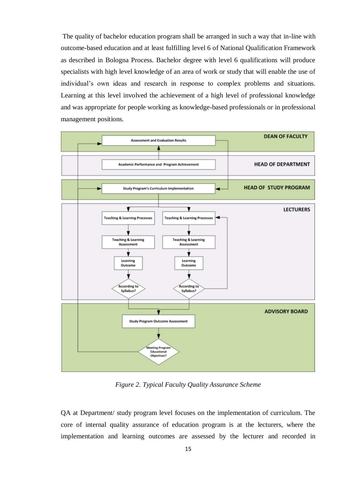The quality of bachelor education program shall be arranged in such a way that in-line with outcome-based education and at least fulfilling level 6 of National Qualification Framework as described in Bologna Process. Bachelor degree with level 6 qualifications will produce specialists with high level knowledge of an area of work or study that will enable the use of individual's own ideas and research in response to complex problems and situations. Learning at this level involved the achievement of a high level of professional knowledge and was appropriate for people working as knowledge-based professionals or in professional management positions.



*Figure 2. Typical Faculty Quality Assurance Scheme*

QA at Department/ study program level focuses on the implementation of curriculum. The core of internal quality assurance of education program is at the lecturers, where the implementation and learning outcomes are assessed by the lecturer and recorded in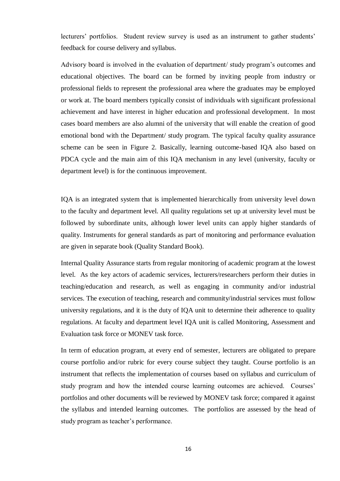lecturers' portfolios. Student review survey is used as an instrument to gather students' feedback for course delivery and syllabus.

Advisory board is involved in the evaluation of department/ study program's outcomes and educational objectives. The board can be formed by inviting people from industry or professional fields to represent the professional area where the graduates may be employed or work at. The board members typically consist of individuals with significant professional achievement and have interest in higher education and professional development. In most cases board members are also alumni of the university that will enable the creation of good emotional bond with the Department/ study program. The typical faculty quality assurance scheme can be seen in Figure 2. Basically, learning outcome-based IQA also based on PDCA cycle and the main aim of this IQA mechanism in any level (university, faculty or department level) is for the continuous improvement.

IQA is an integrated system that is implemented hierarchically from university level down to the faculty and department level. All quality regulations set up at university level must be followed by subordinate units, although lower level units can apply higher standards of quality. Instruments for general standards as part of monitoring and performance evaluation are given in separate book (Quality Standard Book).

Internal Quality Assurance starts from regular monitoring of academic program at the lowest level. As the key actors of academic services, lecturers/researchers perform their duties in teaching/education and research, as well as engaging in community and/or industrial services. The execution of teaching, research and community/industrial services must follow university regulations, and it is the duty of IQA unit to determine their adherence to quality regulations. At faculty and department level IQA unit is called Monitoring, Assessment and Evaluation task force or MONEV task force.

In term of education program, at every end of semester, lecturers are obligated to prepare course portfolio and/or rubric for every course subject they taught. Course portfolio is an instrument that reflects the implementation of courses based on syllabus and curriculum of study program and how the intended course learning outcomes are achieved. Courses' portfolios and other documents will be reviewed by MONEV task force; compared it against the syllabus and intended learning outcomes. The portfolios are assessed by the head of study program as teacher's performance.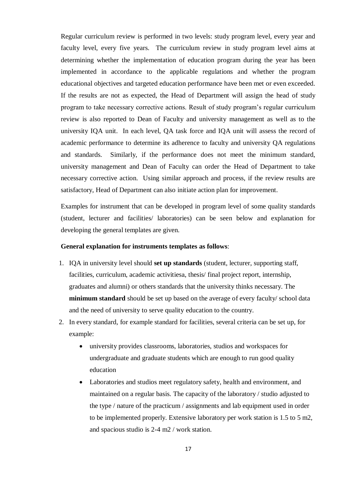Regular curriculum review is performed in two levels: study program level, every year and faculty level, every five years. The curriculum review in study program level aims at determining whether the implementation of education program during the year has been implemented in accordance to the applicable regulations and whether the program educational objectives and targeted education performance have been met or even exceeded. If the results are not as expected, the Head of Department will assign the head of study program to take necessary corrective actions. Result of study program's regular curriculum review is also reported to Dean of Faculty and university management as well as to the university IQA unit. In each level, QA task force and IQA unit will assess the record of academic performance to determine its adherence to faculty and university QA regulations and standards. Similarly, if the performance does not meet the minimum standard, university management and Dean of Faculty can order the Head of Department to take necessary corrective action. Using similar approach and process, if the review results are satisfactory, Head of Department can also initiate action plan for improvement.

Examples for instrument that can be developed in program level of some quality standards (student, lecturer and facilities/ laboratories) can be seen below and explanation for developing the general templates are given.

#### **General explanation for instruments templates as follows**:

- 1. IQA in university level should **set up standards** (student, lecturer, supporting staff, facilities, curriculum, academic activitiesа, thesis/ final project report, internship, graduates and alumni) or others standards that the university thinks necessary. The **minimum standard** should be set up based on the average of every faculty/ school data and the need of university to serve quality education to the country.
- 2. In every standard, for example standard for facilities, several criteria can be set up, for example:
	- university provides classrooms, laboratories, studios and workspaces for undergraduate and graduate students which are enough to run good quality education
	- Laboratories and studios meet regulatory safety, health and environment, and maintained on a regular basis. The capacity of the laboratory / studio adjusted to the type / nature of the practicum / assignments and lab equipment used in order to be implemented properly. Extensive laboratory per work station is 1.5 to 5 m2, and spacious studio is 2-4 m2 / work station.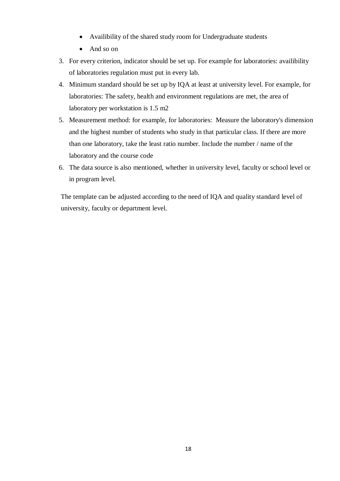- Availibility of the shared study room for Undergraduate students
- And so on
- 3. For every criterion, indicator should be set up. For example for laboratories: availibility of laboratories regulation must put in every lab.
- 4. Minimum standard should be set up by IQA at least at university level. For example, for laboratories: The safety, health and environment regulations are met, the area of laboratory per workstation is 1.5 m2
- 5. Measurement method: for example, for laboratories: Measure the laboratory's dimension and the highest number of students who study in that particular class. If there are more than one laboratory, take the least ratio number. Include the number / name of the laboratory and the course code
- 6. The data source is also mentioned, whether in university level, faculty or school level or in program level.

The template can be adjusted according to the need of IQA and quality standard level of university, faculty or department level.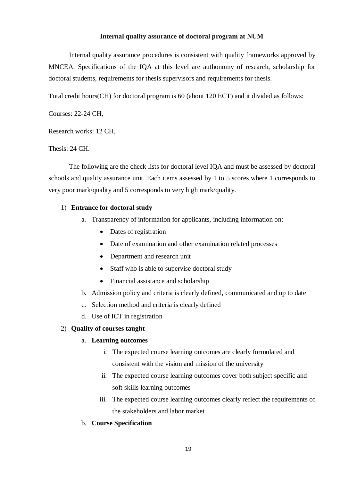### **Internal quality assurance of doctoral program at NUM**

<span id="page-18-0"></span>Internal quality assurance procedures is consistent with quality frameworks approved by MNCEA. Specifications of the IQA at this level are authonomy of research, scholarship for doctoral students, requirements for thesis supervisors and requirements for thesis.

Total credit hours(CH) for doctoral program is 60 (about 120 ECT) and it divided as follows:

Courses: 22-24 CH,

Research works: 12 CH,

Thesis: 24 CH.

The following are the check lists for doctoral level IQA and must be assessed by doctoral schools and quality assurance unit. Each items assessed by 1 to 5 scores where 1 corresponds to very poor mark/quality and 5 corresponds to very high mark/quality.

### 1) **Entrance for doctoral study**

- a. Transparency of information for applicants, including information on:
	- Dates of registration
	- Date of examination and other examination related processes
	- Department and research unit
	- Staff who is able to supervise doctoral study
	- Financial assistance and scholarship
- b. Admission policy and criteria is clearly defined, communicated and up to date
- c. Selection method and criteria is clearly defined
- d. Use of ICT in registration

### 2) **Quality of courses taught**

### a. **Learning outcomes**

- i. The expected course learning outcomes are clearly formulated and consistent with the vision and mission of the university
- ii. The expected course learning outcomes cover both subject specific and soft skills learning outcomes
- iii. The expected course learning outcomes clearly reflect the requirements of the stakeholders and labor market
- b. **Course Specification**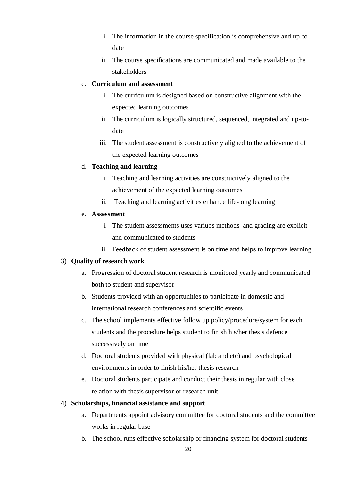- i. The information in the course specification is comprehensive and up-todate
- ii. The course specifications are communicated and made available to the stakeholders

## c. **Curriculum and assessment**

- i. The curriculum is designed based on constructive alignment with the expected learning outcomes
- ii. The curriculum is logically structured, sequenced, integrated and up-todate
- iii. The student assessment is constructively aligned to the achievement of the expected learning outcomes

# d. **Teaching and learning**

- i. Teaching and learning activities are constructively aligned to the achievement of the expected learning outcomes
- ii. Teaching and learning activities enhance life-long learning

## e. **Assessment**

- i. The student assessments uses variuos methods and grading are explicit and communicated to students
- ii. Feedback of student assessment is on time and helps to improve learning

# 3) **Quality of research work**

- a. Progression of doctoral student research is monitored yearly and communicated both to student and supervisor
- b. Students provided with an opportunities to participate in domestic and international research conferences and scientific events
- c. The school implements effective follow up policy/procedure/system for each students and the procedure helps student to finish his/her thesis defence successively on time
- d. Doctoral students provided with physical (lab and etc) and psychological environments in order to finish his/her thesis research
- e. Doctoral students participate and conduct their thesis in regular with close relation with thesis supervisor or research unit

# 4) **Scholarships, financial assistance and support**

- a. Departments appoint advisory committee for doctoral students and the committee works in regular base
- b. The school runs effective scholarship or financing system for doctoral students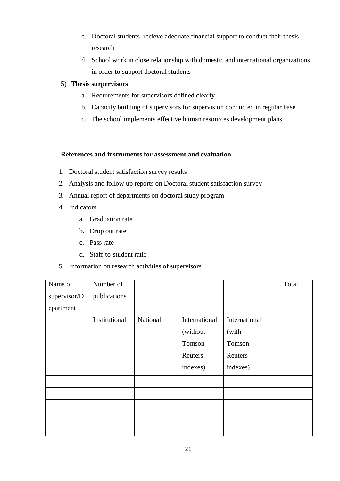- c. Doctoral students recieve adequate financial support to conduct their thesis research
- d. School work in close relationship with domestic and international organizations in order to support doctoral students
- 5) **Thesis surpervisors**
	- a. Requirements for supervisors defined clearly
	- b. Capacity building of supervisors for supervision conducted in regular base
	- c. The school implements effective human resources development plans

### **References and instruments for assessment and evaluation**

- 1. Doctoral student satisfaction survey results
- 2. Analysis and follow up reports on Doctoral student satisfaction survey
- 3. Annual report of departments on doctoral study program
- 4. Indicators
	- a. Graduation rate
	- b. Drop out rate
	- c. Pass rate
	- d. Staff-to-student ratio
- 5. Information on research activities of supervisors

| Name of      | Number of     |          |               |               | Total |
|--------------|---------------|----------|---------------|---------------|-------|
| supervisor/D | publications  |          |               |               |       |
| epartment    |               |          |               |               |       |
|              | Institutional | National | International | International |       |
|              |               |          | (without      | (with         |       |
|              |               |          | Tomson-       | Tomson-       |       |
|              |               |          | Reuters       | Reuters       |       |
|              |               |          | indexes)      | indexes)      |       |
|              |               |          |               |               |       |
|              |               |          |               |               |       |
|              |               |          |               |               |       |
|              |               |          |               |               |       |
|              |               |          |               |               |       |